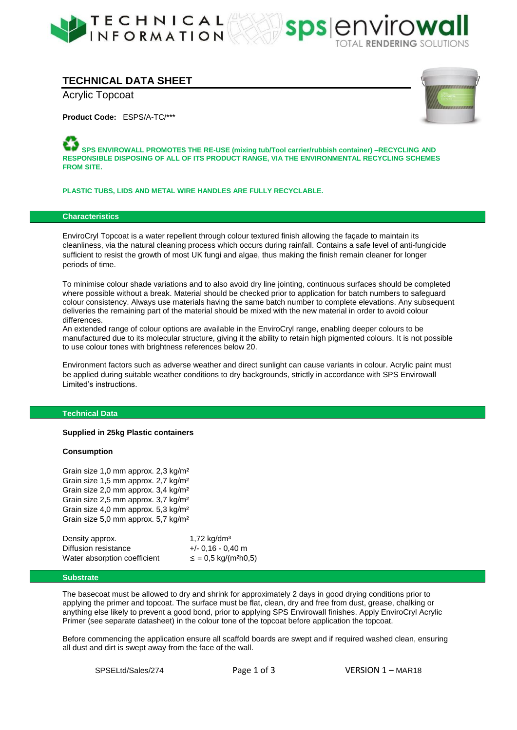



# **TECHNICAL DATA SHEET**

Acrylic Topcoat

**Product Code:** ESPS/A-TC/\*\*\*



**SPS ENVIROWALL PROMOTES THE RE-USE (mixing tub/Tool carrier/rubbish container) –RECYCLING AND RESPONSIBLE DISPOSING OF ALL OF ITS PRODUCT RANGE, VIA THE ENVIRONMENTAL RECYCLING SCHEMES FROM SITE.** 

**PLASTIC TUBS, LIDS AND METAL WIRE HANDLES ARE FULLY RECYCLABLE.** 

## **Characteristics**

EnviroCryl Topcoat is a water repellent through colour textured finish allowing the façade to maintain its cleanliness, via the natural cleaning process which occurs during rainfall. Contains a safe level of anti-fungicide sufficient to resist the growth of most UK fungi and algae, thus making the finish remain cleaner for longer periods of time.

To minimise colour shade variations and to also avoid dry line jointing, continuous surfaces should be completed where possible without a break. Material should be checked prior to application for batch numbers to safeguard colour consistency. Always use materials having the same batch number to complete elevations. Any subsequent deliveries the remaining part of the material should be mixed with the new material in order to avoid colour differences.

An extended range of colour options are available in the EnviroCryl range, enabling deeper colours to be manufactured due to its molecular structure, giving it the ability to retain high pigmented colours. It is not possible to use colour tones with brightness references below 20.

Environment factors such as adverse weather and direct sunlight can cause variants in colour. Acrylic paint must be applied during suitable weather conditions to dry backgrounds, strictly in accordance with SPS Envirowall Limited's instructions.

## **Technical Data**

#### **Supplied in 25kg Plastic containers**

#### **Consumption**

Grain size 1,0 mm approx. 2,3 kg/m² Grain size 1,5 mm approx. 2,7 kg/m² Grain size 2,0 mm approx. 3,4 kg/m² Grain size 2,5 mm approx. 3,7 kg/m² Grain size 4,0 mm approx. 5,3 kg/m² Grain size 5,0 mm approx. 5,7 kg/m²

| Density approx.              | 1,72 $kg/dm3$                        |
|------------------------------|--------------------------------------|
| Diffusion resistance         | $+/- 0.16 - 0.40$ m                  |
| Water absorption coefficient | $\le$ = 0,5 kg/(m <sup>2</sup> h0,5) |

## **Substrate**

The basecoat must be allowed to dry and shrink for approximately 2 days in good drying conditions prior to applying the primer and topcoat. The surface must be flat, clean, dry and free from dust, grease, chalking or anything else likely to prevent a good bond, prior to applying SPS Envirowall finishes. Apply EnviroCryl Acrylic Primer (see separate datasheet) in the colour tone of the topcoat before application the topcoat.

Before commencing the application ensure all scaffold boards are swept and if required washed clean, ensuring all dust and dirt is swept away from the face of the wall.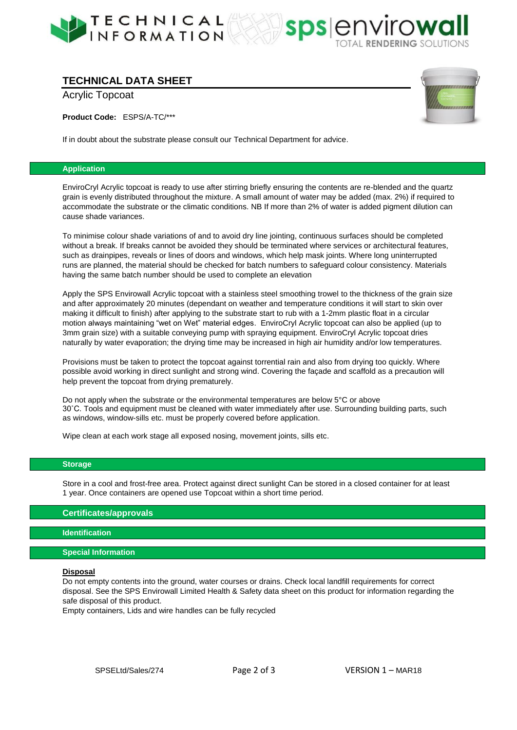

# **TECHNICAL DATA SHEET**

Acrylic Topcoat

**Product Code:** ESPS/A-TC/\*\*\*

If in doubt about the substrate please consult our Technical Department for advice.

## **Application**

EnviroCryl Acrylic topcoat is ready to use after stirring briefly ensuring the contents are re-blended and the quartz grain is evenly distributed throughout the mixture. A small amount of water may be added (max. 2%) if required to accommodate the substrate or the climatic conditions. NB If more than 2% of water is added pigment dilution can cause shade variances.

To minimise colour shade variations of and to avoid dry line jointing, continuous surfaces should be completed without a break. If breaks cannot be avoided they should be terminated where services or architectural features, such as drainpipes, reveals or lines of doors and windows, which help mask joints. Where long uninterrupted runs are planned, the material should be checked for batch numbers to safeguard colour consistency. Materials having the same batch number should be used to complete an elevation

Apply the SPS Envirowall Acrylic topcoat with a stainless steel smoothing trowel to the thickness of the grain size and after approximately 20 minutes (dependant on weather and temperature conditions it will start to skin over making it difficult to finish) after applying to the substrate start to rub with a 1-2mm plastic float in a circular motion always maintaining "wet on Wet" material edges. EnviroCryl Acrylic topcoat can also be applied (up to 3mm grain size) with a suitable conveying pump with spraying equipment. EnviroCryl Acrylic topcoat dries naturally by water evaporation; the drying time may be increased in high air humidity and/or low temperatures.

Provisions must be taken to protect the topcoat against torrential rain and also from drying too quickly. Where possible avoid working in direct sunlight and strong wind. Covering the façade and scaffold as a precaution will help prevent the topcoat from drying prematurely.

Do not apply when the substrate or the environmental temperatures are below 5°C or above 30˚C. Tools and equipment must be cleaned with water immediately after use. Surrounding building parts, such as windows, window-sills etc. must be properly covered before application.

Wipe clean at each work stage all exposed nosing, movement joints, sills etc.

## **Storage**

Store in a cool and frost-free area. Protect against direct sunlight Can be stored in a closed container for at least 1 year. Once containers are opened use Topcoat within a short time period.

## **Certificates/approvals**

## **Identification**

## **Special Information**

#### **Disposal**

Do not empty contents into the ground, water courses or drains. Check local landfill requirements for correct disposal. See the SPS Envirowall Limited Health & Safety data sheet on this product for information regarding the safe disposal of this product.

Empty containers, Lids and wire handles can be fully recycled



spsenvirow